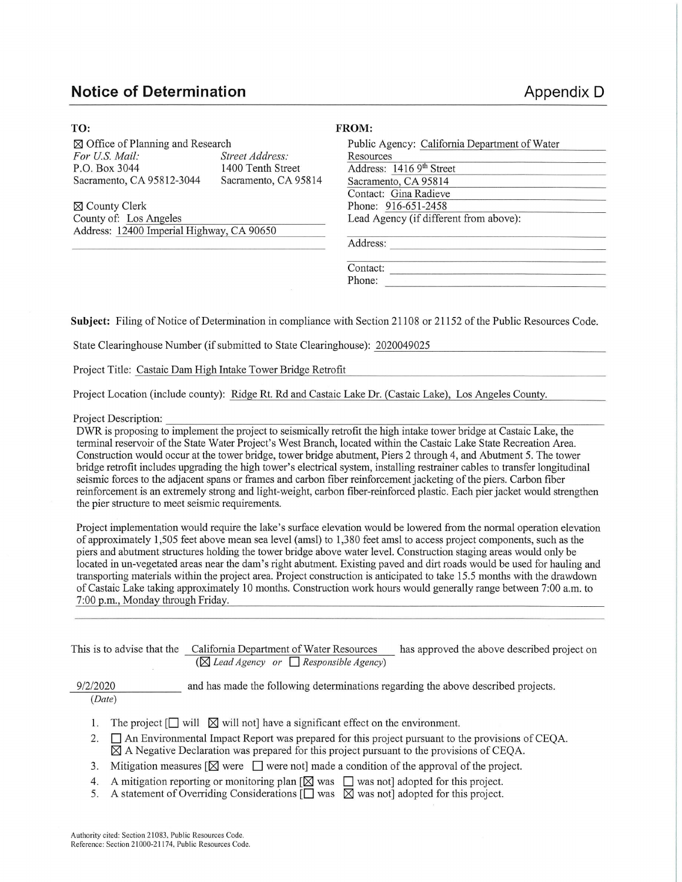## **Notice of Determination Appendix D Appendix D**

| TO:                                         |                      | <b>FROM:</b>                                  |  |  |  |
|---------------------------------------------|----------------------|-----------------------------------------------|--|--|--|
| $\boxtimes$ Office of Planning and Research |                      | Public Agency: California Department of Water |  |  |  |
| For U.S. Mail:                              | Street Address:      | Resources                                     |  |  |  |
| P.O. Box 3044                               | 1400 Tenth Street    | Address: 1416 9th Street                      |  |  |  |
| Sacramento, CA 95812-3044                   | Sacramento, CA 95814 | Sacramento, CA 95814                          |  |  |  |
|                                             |                      | Contact: Gina Radieve                         |  |  |  |
| $\boxtimes$ County Clerk                    |                      | Phone: 916-651-2458                           |  |  |  |
| County of: Los Angeles                      |                      | Lead Agency (if different from above):        |  |  |  |
| Address: 12400 Imperial Highway, CA 90650   |                      |                                               |  |  |  |
|                                             |                      | Address:                                      |  |  |  |

------------- ----- Contact: Phone:

**Subject:** Filing of Notice of Determination in compliance with Section 21108 or 21152 of the Public Resources Code.

State Clearinghouse Number (if submitted to State Clearinghouse): 2020049025

Project Title: Castaic Dam High Intake Tower Bridge Retrofit

Project Location (include county): Ridge Rt. Rd and Castaic Lake Dr. (Castaic Lake), Los Angeles County.

Project Description:<br>DWR is proposing to implement the project to seismically retrofit the high intake tower bridge at Castaic Lake, the terminal reservoir of the State Water Project's West Branch, located within the Castaic Lake State Recreation Area. Construction would occur at the tower bridge, tower bridge abutment, Piers 2 through 4, and Abutment 5. The tower bridge retrofit includes upgrading the high tower's electrical system, installing restrainer cables to transfer longitudinal seismic forces to the adjacent spans or frames and carbon fiber reinforcement jacketing of the piers. Carbon fiber reinforcement is an extremely strong and light-weight, carbon fiber-reinforced plastic. Each pier jacket would strengthen the pier structure to meet seismic requirements.

Project implementation would require the lake's surface elevation would be lowered from the normal operation elevation of approximately 1,505 feet above mean sea level (ams!) to 1,380 feet ams! to access project components, such as the piers and abutment structures holding the tower bridge above water level. Construction staging areas would only be located in un-vegetated areas near the dam's right abutment. Existing paved and dirt roads would be used for hauling and transporting materials within the project area. Project construction is anticipated to take 15.5 months with the drawdown ofCastaic Lake taking approximately 10 months. Construction work hours would generally range between 7:00 a.m. to 7:00 p.m. , Monday through Friday.

| This is to advise that the | California Department of Water Resources<br>$(\boxtimes$ Lead Agency or $\Box$ Responsible Agency)                                                                                                                    | has approved the above described project on |
|----------------------------|-----------------------------------------------------------------------------------------------------------------------------------------------------------------------------------------------------------------------|---------------------------------------------|
| 9/2/2020<br>(Date)         | and has made the following determinations regarding the above described projects.                                                                                                                                     |                                             |
|                            | The project $[\Box \text{ will } \boxtimes \text{ will not}]$ have a significant effect on the environment.<br>$\Box$ An Environmental Impact Report was prepared for this project pursuant to the provisions of CEOA |                                             |

- n Environmental Impact Report was prepared for this project pursuant to the provisions of CEQA. **[gJ** A Negative Declaration was prepared for this project pursuant to the provisions of CEQA.
- 3. Mitigation measures  $[\boxtimes]$  were  $[\Box]$  were not made a condition of the approval of the project.
- 4. A mitigation reporting or monitoring plan  $[\boxtimes]$  was  $\Box$  was not] adopted for this project.
- 5. A statement of Overriding Considerations  $\overline{Q}$  was  $\overline{Q}$  was not adopted for this project.